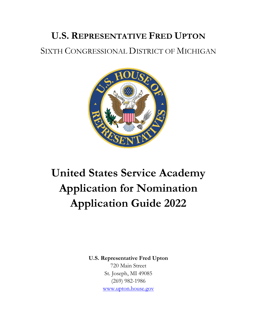## **U.S. REPRESENTATIVE FRED UPTON** SIXTH CONGRESSIONAL DISTRICT OF MICHIGAN



# **United States Service Academy Application for Nomination Application Guide 2022**

**U.S. Representative Fred Upton**

720 Main Street St. Joseph, MI 49085 (269) 982-1986 [www.upton.house.gov](http://www.upton.house.gov/)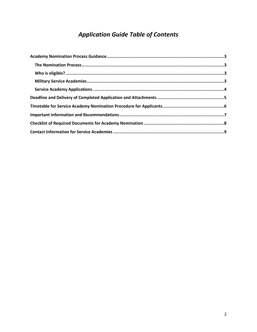## *Application Guide Table of Contents*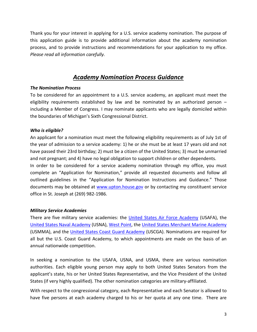Thank you for your interest in applying for a U.S. service academy nomination. The purpose of this application guide is to provide additional information about the academy nomination process, and to provide instructions and recommendations for your application to my office. *Please read all information carefully.*

## *Academy Nomination Process Guidance*

## <span id="page-2-1"></span><span id="page-2-0"></span>*The Nomination Process*

To be considered for an appointment to a U.S. service academy, an applicant must meet the eligibility requirements established by law and be nominated by an authorized person – including a Member of Congress. I may nominate applicants who are legally domiciled within the boundaries of Michigan's Sixth Congressional District.

## <span id="page-2-2"></span>*Who is eligible?*

An applicant for a nomination must meet the following eligibility requirements as of July 1st of the year of admission to a service academy: 1) he or she must be at least 17 years old and not have passed their 23rd birthday; 2) must be a citizen of the United States; 3) must be unmarried and not pregnant; and 4) have no legal obligation to support children or other dependents.

In order to be considered for a service academy nomination through my office, you must complete an "Application for Nomination," provide all requested documents and follow all outlined guidelines in the "Application for Nomination Instructions and Guidance." Those documents may be obtained at [www.upton.house.gov](http://www.upton.house.gov/) or by contacting my constituent service office in St. Joseph at (269) 982-1986.

## <span id="page-2-3"></span>*Military Service Academies*

There are five military service academies: the [United States Air Force Academy](https://www.usafa.af.mil/) (USAFA), the [United States Naval Academy](https://www.usna.edu/homepage.php) (USNA), [West Point,](https://www.westpoint.edu/) the [United States Merchant Marine Academy](https://www.usmma.edu/) (USMMA), and the [United States Coast Guard Academy](https://www.uscga.edu/) (USCGA). Nominations are required for all but the U.S. Coast Guard Academy, to which appointments are made on the basis of an annual nationwide competition.

In seeking a nomination to the USAFA, USNA, and USMA, there are various nomination authorities. Each eligible young person may apply to both United States Senators from the applicant's state, his or her United States Representative, and the Vice President of the United States (if very highly qualified). The other nomination categories are military-affiliated.

With respect to the congressional category, each Representative and each Senator is allowed to have five persons at each academy charged to his or her quota at any one time. There are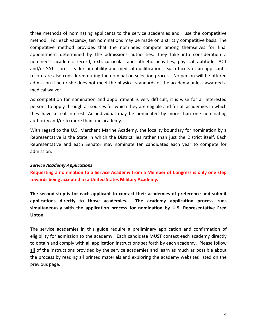three methods of nominating applicants to the service academies and I use the competitive method. For each vacancy, ten nominations may be made on a strictly competitive basis. The competitive method provides that the nominees compete among themselves for final appointment determined by the admissions authorities. They take into consideration a nominee's academic record, extracurricular and athletic activities, physical aptitude, ACT and/or SAT scores, leadership ability and medical qualifications. Such facets of an applicant's record are also considered during the nomination selection process. No person will be offered admission if he or she does not meet the physical standards of the academy unless awarded a medical waiver.

As competition for nomination and appointment is very difficult, it is wise for all interested persons to apply through all sources for which they are eligible and for all academies in which they have a real interest. An individual may be nominated by more than one nominating authority and/or to more than one academy.

With regard to the U.S. Merchant Marine Academy, the locality boundary for nomination by a Representative is the State in which the District lies rather than just the District itself. Each Representative and each Senator may nominate ten candidates each year to compete for admission.

#### <span id="page-3-0"></span>*Service Academy Applications*

**Requesting a nomination to a Service Academy from a Member of Congress is only one step towards being accepted to a United States Military Academy.** 

**The second step is for each applicant to contact their academies of preference and submit applications directly to those academies. The academy application process runs simultaneously with the application process for nomination by U.S. Representative Fred Upton.** 

The service academies in this guide require a preliminary application and confirmation of eligibility for admission to the academy. Each candidate MUST contact each academy directly to obtain and comply with all application instructions set forth by each academy. Please follow all of the instructions provided by the service academies and learn as much as possible about the process by reading all printed materials and exploring the academy websites listed on the previous page.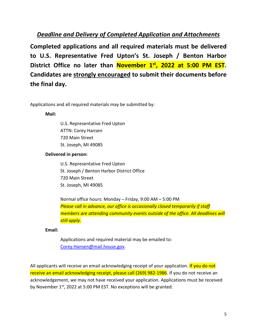## <span id="page-4-0"></span>*Deadline and Delivery of Completed Application and Attachments*

**Completed applications and all required materials must be delivered to U.S. Representative Fred Upton's St. Joseph / Benton Harbor District Office no later than November 1st, 2022 at 5:00 PM EST. Candidates are strongly encouraged to submit their documents before the final day.** 

Applications and all required materials may be submitted by:

**Mail:** 

U.S. Representative Fred Upton ATTN: Corey Hansen 720 Main Street St. Joseph, MI 49085

## **Delivered in person:**

U.S. Representative Fred Upton St. Joseph / Benton Harbor District Office 720 Main Street St. Joseph, MI 49085

Normal office hours: Monday – Friday, 9:00 AM – 5:00 PM *Please call in advance, our office is occasionally closed temporarily if staff members are attending community events outside of the office. All deadlines will still apply.*

**Email:** 

Applications and required material may be emailed to: [Corey.Hansen@mail.house.gov.](mailto:Corey.Hansen@mail.house.gov)

All applicants will receive an email acknowledging receipt of your application. If you do not receive an email acknowledging receipt, please call (269) 982-1986. If you do not receive an acknowledgement, we may not have received your application. Applications must be received by November 1<sup>st</sup>, 2022 at 5:00 PM EST. No exceptions will be granted.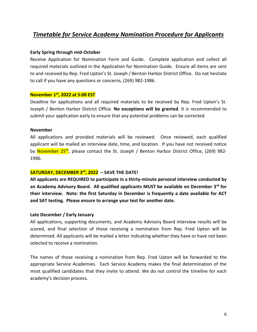## <span id="page-5-0"></span>*Timetable for Service Academy Nomination Procedure for Applicants*

#### **Early Spring through mid-October**

Receive Application for Nomination Form and Guide. Complete application and collect all required materials outlined in the Application for Nomination Guide. Ensure all items are sent to and received by Rep. Fred Upton's St. Joseph / Benton Harbor District Office. Do not hesitate to call if you have any questions or concerns, (269) 982-1986.

#### **November 1st, 2022 at 5:00 EST**

Deadline for applications and all required materials to be received by Rep. Fred Upton's St. Joseph / Benton Harbor District Office. **No exceptions will be granted**. It is recommended to submit your application early to ensure that any potential problems can be corrected.

#### **November**

All applications and provided materials will be reviewed. Once reviewed, each qualified applicant will be mailed an interview date, time, and location. If you have not received notice by November 25<sup>th</sup>, please contact the St. Joseph / Benton Harbor District Office, (269) 982-1986.

### **SATURDAY, DECEMBER 3rd, 2022 – SAVE THE DATE!**

**All applicants are REQUIRED to participate in a thirty-minute personal interview conducted by an Academy Advisory Board. All qualified applicants MUST be available on December 3rd for their interview. Note: the first Saturday in December is frequently a date available for ACT and SAT testing. Please ensure to arrange your test for another date.** 

#### **Late December / Early January**

All applications, supporting documents, and Academy Advisory Board interview results will be scored, and final selection of those receiving a nomination from Rep. Fred Upton will be determined. All applicants will be mailed a letter indicating whether they have or have not been selected to receive a nomination.

The names of those receiving a nomination from Rep. Fred Upton will be forwarded to the appropriate Service Academies. Each Service Academy makes the final determination of the most qualified candidates that they invite to attend. We do not control the timeline for each academy's decision process.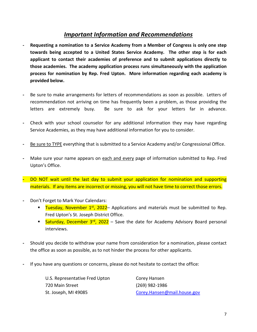## *Important Information and Recommendations*

- <span id="page-6-0"></span>**- Requesting a nomination to a Service Academy from a Member of Congress is only one step towards being accepted to a United States Service Academy. The other step is for each applicant to contact their academies of preference and to submit applications directly to those academies. The academy application process runs simultaneously with the application process for nomination by Rep. Fred Upton. More information regarding each academy is provided below.**
- **-** Be sure to make arrangements for letters of recommendations as soon as possible. Letters of recommendation not arriving on time has frequently been a problem, as those providing the letters are extremely busy. Be sure to ask for your letters far in advance.
- **-** Check with your school counselor for any additional information they may have regarding Service Academies, as they may have additional information for you to consider.
- **-** Be sure to TYPE everything that is submitted to a Service Academy and/or Congressional Office.
- **-** Make sure your name appears on each and every page of information submitted to Rep. Fred Upton's Office.
- **-** DO NOT wait until the last day to submit your application for nomination and supporting materials. If any items are incorrect or missing, you will not have time to correct those errors.
- **-** Don't Forget to Mark Your Calendars:
	- **Tuesday, November 1st, 2022** Applications and materials must be submitted to Rep. Fred Upton's St. Joseph District Office.
	- **Saturday, December 3rd, 2022** Save the date for Academy Advisory Board personal interviews.
- **-** Should you decide to withdraw your name from consideration for a nomination, please contact the office as soon as possible, as to not hinder the process for other applicants.
- **-** If you have any questions or concerns, please do not hesitate to contact the office:

| U.S. Representative Fred Upton | Corey Hansen                |
|--------------------------------|-----------------------------|
| 720 Main Street                | (269) 982-1986              |
| St. Joseph, MI 49085           | Corey.Hansen@mail.house.gov |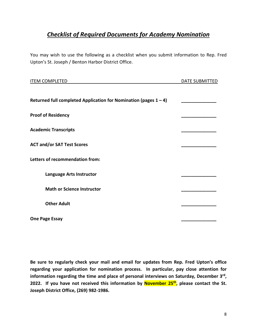## <span id="page-7-0"></span>*Checklist of Required Documents for Academy Nomination*

You may wish to use the following as a checklist when you submit information to Rep. Fred Upton's St. Joseph / Benton Harbor District Office.

| <b>ITEM COMPLETED</b>                                               | DATE SUBMITTED |
|---------------------------------------------------------------------|----------------|
| Returned full completed Application for Nomination (pages $1 - 4$ ) |                |
| <b>Proof of Residency</b>                                           |                |
| <b>Academic Transcripts</b>                                         |                |
| <b>ACT and/or SAT Test Scores</b>                                   |                |
| Letters of recommendation from:                                     |                |
| Language Arts Instructor                                            |                |
| <b>Math or Science Instructor</b>                                   |                |
| <b>Other Adult</b>                                                  |                |
| <b>One Page Essay</b>                                               |                |

**Be sure to regularly check your mail and email for updates from Rep. Fred Upton's office regarding your application for nomination process. In particular, pay close attention for**  information regarding the time and place of personal interviews on Saturday, December 3<sup>rd</sup>, 2022. If you have not received this information by **November 25<sup>th</sup>, please contact the St. Joseph District Office, (269) 982-1986.**